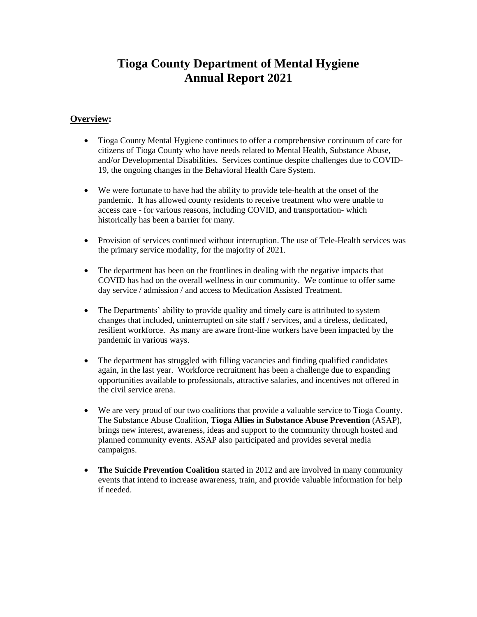# **Tioga County Department of Mental Hygiene Annual Report 2021**

## **Overview:**

- Tioga County Mental Hygiene continues to offer a comprehensive continuum of care for citizens of Tioga County who have needs related to Mental Health, Substance Abuse, and/or Developmental Disabilities. Services continue despite challenges due to COVID-19, the ongoing changes in the Behavioral Health Care System.
- We were fortunate to have had the ability to provide tele-health at the onset of the pandemic. It has allowed county residents to receive treatment who were unable to access care - for various reasons, including COVID, and transportation- which historically has been a barrier for many.
- Provision of services continued without interruption. The use of Tele-Health services was the primary service modality, for the majority of 2021.
- The department has been on the frontlines in dealing with the negative impacts that COVID has had on the overall wellness in our community. We continue to offer same day service / admission / and access to Medication Assisted Treatment.
- The Departments' ability to provide quality and timely care is attributed to system changes that included, uninterrupted on site staff / services, and a tireless, dedicated, resilient workforce. As many are aware front-line workers have been impacted by the pandemic in various ways.
- The department has struggled with filling vacancies and finding qualified candidates again, in the last year. Workforce recruitment has been a challenge due to expanding opportunities available to professionals, attractive salaries, and incentives not offered in the civil service arena.
- We are very proud of our two coalitions that provide a valuable service to Tioga County. The Substance Abuse Coalition, **Tioga Allies in Substance Abuse Prevention** (ASAP), brings new interest, awareness, ideas and support to the community through hosted and planned community events. ASAP also participated and provides several media campaigns.
- **The Suicide Prevention Coalition** started in 2012 and are involved in many community events that intend to increase awareness, train, and provide valuable information for help if needed.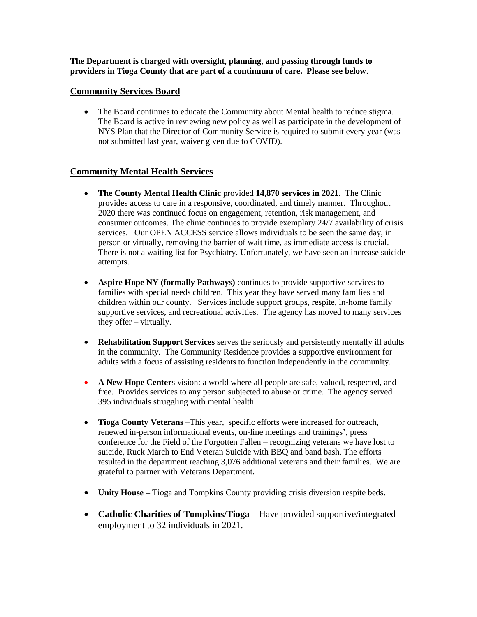**The Department is charged with oversight, planning, and passing through funds to providers in Tioga County that are part of a continuum of care. Please see below**.

#### **Community Services Board**

• The Board continues to educate the Community about Mental health to reduce stigma. The Board is active in reviewing new policy as well as participate in the development of NYS Plan that the Director of Community Service is required to submit every year (was not submitted last year, waiver given due to COVID).

## **Community Mental Health Services**

- **The County Mental Health Clinic** provided **14,870 services in 2021**. The Clinic provides access to care in a responsive, coordinated, and timely manner. Throughout 2020 there was continued focus on engagement, retention, risk management, and consumer outcomes. The clinic continues to provide exemplary 24/7 availability of crisis services. Our OPEN ACCESS service allows individuals to be seen the same day, in person or virtually, removing the barrier of wait time, as immediate access is crucial. There is not a waiting list for Psychiatry. Unfortunately, we have seen an increase suicide attempts.
- **Aspire Hope NY (formally Pathways)** continues to provide supportive services to families with special needs children. This year they have served many families and children within our county. Services include support groups, respite, in-home family supportive services, and recreational activities. The agency has moved to many services they offer – virtually.
- **Rehabilitation Support Services** serves the seriously and persistently mentally ill adults in the community. The Community Residence provides a supportive environment for adults with a focus of assisting residents to function independently in the community.
- **A New Hope Center**s vision: a world where all people are safe, valued, respected, and free. Provides services to any person subjected to abuse or crime. The agency served 395 individuals struggling with mental health.
- **Tioga County Veterans** –This year, specific efforts were increased for outreach, renewed in-person informational events, on-line meetings and trainings', press conference for the Field of the Forgotten Fallen – recognizing veterans we have lost to suicide, Ruck March to End Veteran Suicide with BBQ and band bash. The efforts resulted in the department reaching 3,076 additional veterans and their families. We are grateful to partner with Veterans Department.
- **Unity House –** Tioga and Tompkins County providing crisis diversion respite beds.
- **Catholic Charities of Tompkins/Tioga –** Have provided supportive/integrated employment to 32 individuals in 2021.